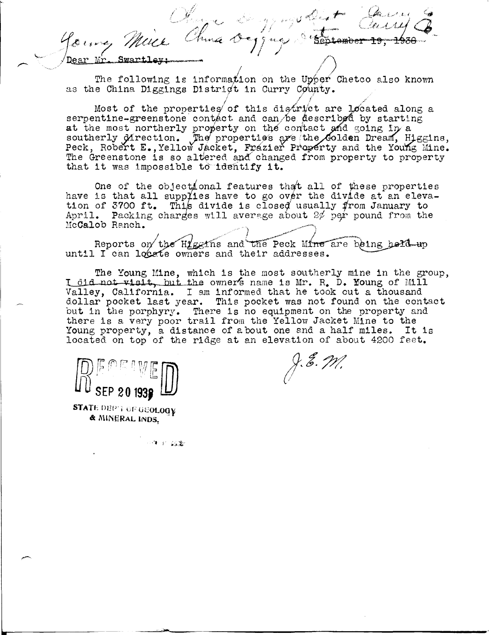Olive Dy my Det loure, Mille Chua O  $5 - 256$ **Swart1** 

The following is information on the Upper Chetco also known as the China Diggings District in Curry County.

Most of the properties of this district are located along a serpentine-greenstone contact and can be described by starting at the most northerly property on the contact and soing in a southerly Mirection. The properties are the Golden Dream, Higgins, Peck, Robert E., Yellow Jacket, Frazier Property and the Young Mine. The Greenstone is so altered and changed from property to property that it was impossible to identify it.

One of the objectional features that all of these properties have is that all supplies have to go over the divide at an elevation of 3700 ft. This divide is closed usually from January to April. Packing charges will average about  $2\phi$  per pound from the McCalob Ranch.

Reports on the Higgins and the Peck Mine are being held up until I can locate owners and their addresses.

The Young Mine, which is the most southerly mine in the group, I did not visit, but the owner's name is Mr. R. D. Moung of Mill Valley, California. I am informed that he took out a thousand dollar pocket last year. This pocket was not found on the contact but in the porphyry. There is no equipment on the property and there is a very poor trail from the Yellow Jacket Mine to the Young property, a distance of about one and a half miles. It is located on top of the ridge at an elevation of about 4200 feet.

SEP 20 193

STATE DEPT OF GEOLOGY & MINERAL INDS.

J.E. *M.* 

一件 的复数